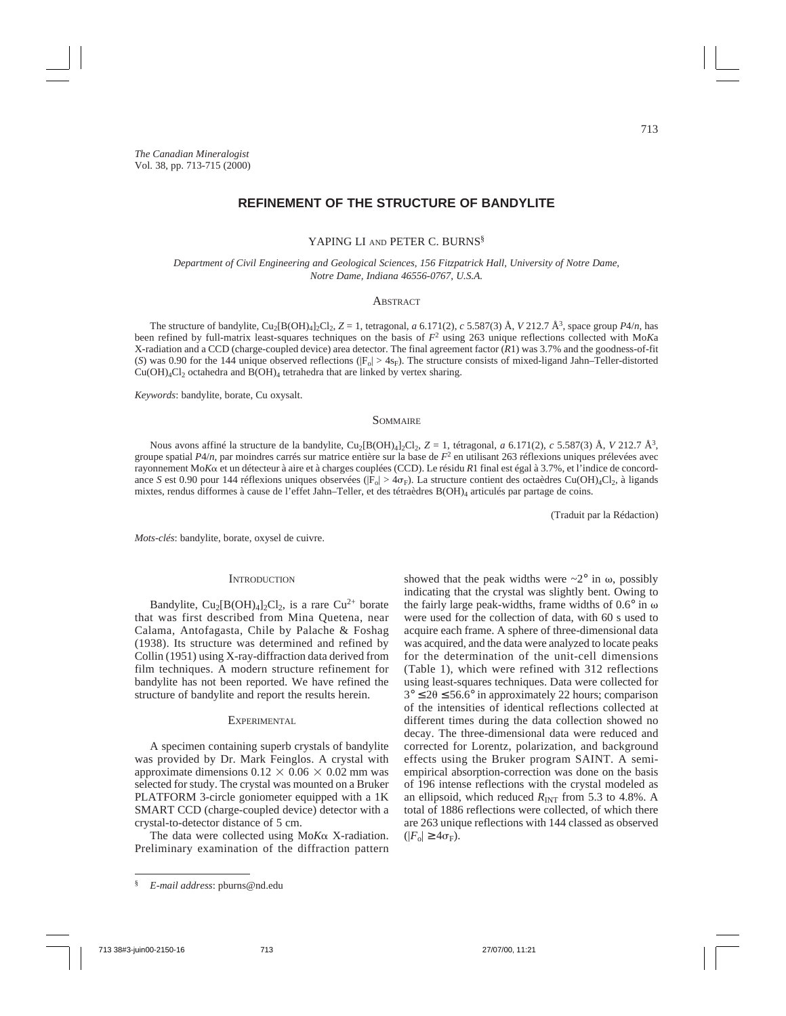# **REFINEMENT OF THE STRUCTURE OF BANDYLITE**

#### YAPING LI AND PETER C. BURNS<sup>§</sup>

*Department of Civil Engineering and Geological Sciences, 156 Fitzpatrick Hall, University of Notre Dame, Notre Dame, Indiana 46556-0767, U.S.A.*

## **ABSTRACT**

The structure of bandylite, Cu<sub>2</sub>[B(OH)<sub>4</sub>]<sub>2</sub>Cl<sub>2</sub>,  $Z = 1$ , tetragonal, *a* 6.171(2), *c* 5.587(3) Å, *V* 212.7 Å<sup>3</sup>, space group *P*4/*n*, has been refined by full-matrix least-squares techniques on the basis of  $F^2$  using 263 unique reflections collected with Mo*Ka* X-radiation and a CCD (charge-coupled device) area detector. The final agreement factor (*R*1) was 3.7% and the goodness-of-fit (*S*) was 0.90 for the 144 unique observed reflections ( $|F_0| > 4s_F$ ). The structure consists of mixed-ligand Jahn–Teller-distorted  $Cu(OH)<sub>4</sub>Cl<sub>2</sub>$  octahedra and  $B(OH)<sub>4</sub>$  tetrahedra that are linked by vertex sharing.

*Keywords*: bandylite, borate, Cu oxysalt.

#### **SOMMAIRE**

Nous avons affiné la structure de la bandylite, Cu2[B(OH)4]2Cl2, *Z* = 1, tétragonal, *a* 6.171(2), *c* 5.587(3) Å, *V* 212.7 Å3, groupe spatial  $P4/n$ , par moindres carrés sur matrice entière sur la base de  $F<sup>2</sup>$  en utilisant 263 réflexions uniques prélevées avec rayonnement Mo*K*a et un détecteur à aire et à charges couplées (CCD). Le résidu *R*1 final est égal à 3.7%, et l'indice de concordance *S* est 0.90 pour 144 réflexions uniques observées ( $|F_0| > 4\sigma_F$ ). La structure contient des octaèdres Cu(OH)<sub>4</sub>Cl<sub>2</sub>, à ligands mixtes, rendus difformes à cause de l'effet Jahn–Teller, et des tétraèdres B(OH)4 articulés par partage de coins.

(Traduit par la Rédaction)

*Mots-clés*: bandylite, borate, oxysel de cuivre.

#### **INTRODUCTION**

Bandylite,  $Cu_2[B(OH)_4]_2Cl_2$ , is a rare  $Cu^{2+}$  borate that was first described from Mina Quetena, near Calama, Antofagasta, Chile by Palache & Foshag (1938). Its structure was determined and refined by Collin (1951) using X-ray-diffraction data derived from film techniques. A modern structure refinement for bandylite has not been reported. We have refined the structure of bandylite and report the results herein.

### **EXPERIMENTAL**

A specimen containing superb crystals of bandylite was provided by Dr. Mark Feinglos. A crystal with approximate dimensions  $0.12 \times 0.06 \times 0.02$  mm was selected for study. The crystal was mounted on a Bruker PLATFORM 3-circle goniometer equipped with a 1K SMART CCD (charge-coupled device) detector with a crystal-to-detector distance of 5 cm.

The data were collected using Mo*K*a X-radiation. Preliminary examination of the diffraction pattern

showed that the peak widths were  $\sim 2^{\circ}$  in  $\omega$ , possibly indicating that the crystal was slightly bent. Owing to the fairly large peak-widths, frame widths of  $0.6^{\circ}$  in  $\omega$ were used for the collection of data, with 60 s used to acquire each frame. A sphere of three-dimensional data was acquired, and the data were analyzed to locate peaks for the determination of the unit-cell dimensions (Table 1), which were refined with 312 reflections using least-squares techniques. Data were collected for  $3^{\circ} \le 2\theta \le 56.6^{\circ}$  in approximately 22 hours; comparison of the intensities of identical reflections collected at different times during the data collection showed no decay. The three-dimensional data were reduced and corrected for Lorentz, polarization, and background effects using the Bruker program SAINT. A semiempirical absorption-correction was done on the basis of 196 intense reflections with the crystal modeled as an ellipsoid, which reduced  $R_{\text{INT}}$  from 5.3 to 4.8%. A total of 1886 reflections were collected, of which there are 263 unique reflections with 144 classed as observed  $(|F_{\rm o}| \geq 4\sigma_{\rm F}).$ 

<sup>§</sup> *E-mail address*: pburns@nd.edu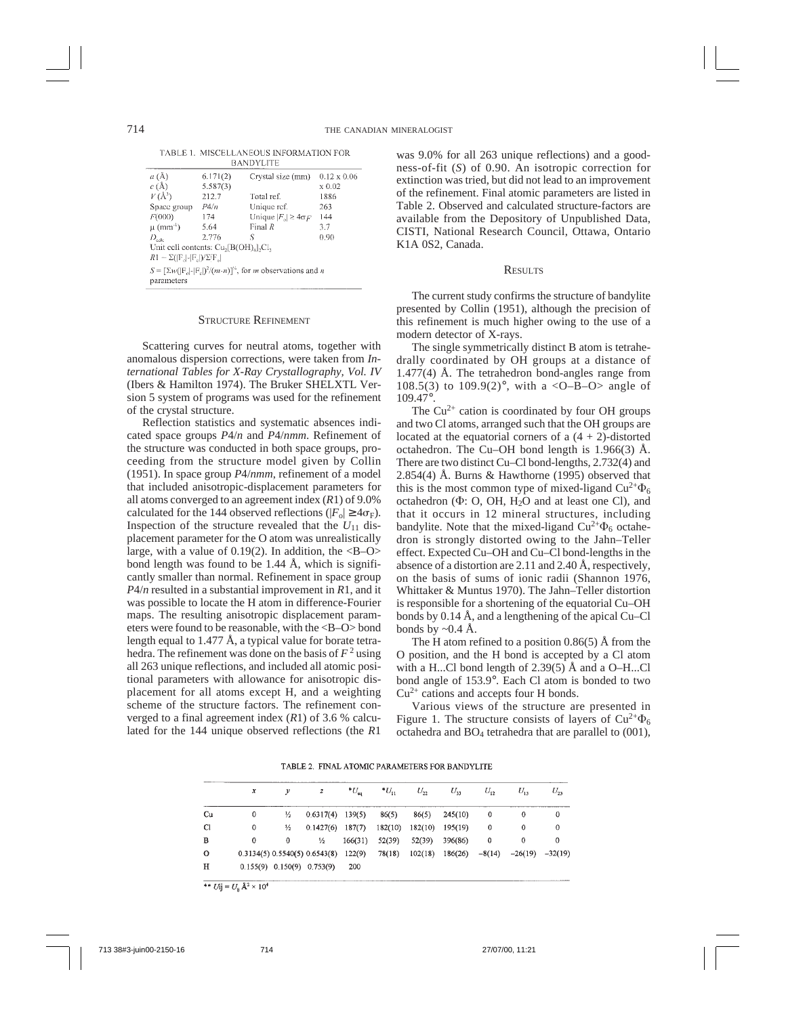TABLE 1 MISCELLANEOUS INFORMATION FOR **DAMINVETTE** 

| .                                                                                          |                               |                                      |                    |  |  |  |  |  |  |
|--------------------------------------------------------------------------------------------|-------------------------------|--------------------------------------|--------------------|--|--|--|--|--|--|
| $a(\AA)$                                                                                   | 6.171(2)<br>Crystal size (mm) |                                      | $0.12 \times 0.06$ |  |  |  |  |  |  |
| $c(\text{\AA})$                                                                            | 5.587(3)                      |                                      | $x\,0.02$          |  |  |  |  |  |  |
| $V(\AA^3)$                                                                                 | 212.7                         | Total ref.                           | 1886               |  |  |  |  |  |  |
| Space group                                                                                | P4/n                          | Unique ref.                          | 263                |  |  |  |  |  |  |
| F(000)                                                                                     | 174                           | Unique $ F_{\alpha}  \geq 4\sigma F$ | 144                |  |  |  |  |  |  |
| $\mu$ (mm <sup>-1</sup> )                                                                  | 5.64                          | Final $R$                            | 3.7                |  |  |  |  |  |  |
| $D_{\rm calc}$                                                                             | 2.776                         | S                                    | 0.90               |  |  |  |  |  |  |
| Unit cell contents: Cu <sub>2</sub> [B(OH) <sub>4</sub> ],Cl,                              |                               |                                      |                    |  |  |  |  |  |  |
| $R1 = \Sigma( \Gamma_n  \cdot  \Gamma_n )/\Sigma \Gamma_n $                                |                               |                                      |                    |  |  |  |  |  |  |
| $S = \left[\sum_{w} (F_n - F_n)^2/(m-n)\right]^n$ , for <i>m</i> observations and <i>n</i> |                               |                                      |                    |  |  |  |  |  |  |
| parameters                                                                                 |                               |                                      |                    |  |  |  |  |  |  |

#### STRUCTURE REFINEMENT

Scattering curves for neutral atoms, together with anomalous dispersion corrections, were taken from *International Tables for X-Ray Crystallography, Vol. IV* (Ibers & Hamilton 1974). The Bruker SHELXTL Version 5 system of programs was used for the refinement of the crystal structure.

Reflection statistics and systematic absences indicated space groups *P*4/*n* and *P*4/*nmm*. Refinement of the structure was conducted in both space groups, proceeding from the structure model given by Collin (1951). In space group *P*4/*nmm*, refinement of a model that included anisotropic-displacement parameters for all atoms converged to an agreement index (*R*1) of 9.0% calculated for the 144 observed reflections ( $|F_o| \ge 4\sigma_F$ ). Inspection of the structure revealed that the  $U_{11}$  displacement parameter for the O atom was unrealistically large, with a value of  $0.19(2)$ . In addition, the  $\langle B-O \rangle$ bond length was found to be 1.44  $\AA$ , which is significantly smaller than normal. Refinement in space group *P*4/*n* resulted in a substantial improvement in *R*1, and it was possible to locate the H atom in difference-Fourier maps. The resulting anisotropic displacement parameters were found to be reasonable, with the <B–O> bond length equal to 1.477 Å, a typical value for borate tetrahedra. The refinement was done on the basis of  $F^2$  using all 263 unique reflections, and included all atomic positional parameters with allowance for anisotropic displacement for all atoms except H, and a weighting scheme of the structure factors. The refinement converged to a final agreement index (*R*1) of 3.6 % calculated for the 144 unique observed reflections (the *R*1

was 9.0% for all 263 unique reflections) and a goodness-of-fit (*S*) of 0.90. An isotropic correction for extinction was tried, but did not lead to an improvement of the refinement. Final atomic parameters are listed in Table 2. Observed and calculated structure-factors are available from the Depository of Unpublished Data, CISTI, National Research Council, Ottawa, Ontario K1A 0S2, Canada.

#### **RESULTS**

The current study confirms the structure of bandylite presented by Collin (1951), although the precision of this refinement is much higher owing to the use of a modern detector of X-rays.

The single symmetrically distinct B atom is tetrahedrally coordinated by OH groups at a distance of  $1.477(4)$  Å. The tetrahedron bond-angles range from 108.5(3) to 109.9(2)°, with a <0-B-O> angle of 109.47°.

The  $Cu^{2+}$  cation is coordinated by four OH groups and two Cl atoms, arranged such that the OH groups are located at the equatorial corners of a  $(4 + 2)$ -distorted octahedron. The Cu–OH bond length is 1.966(3) Å. There are two distinct Cu–Cl bond-lengths, 2.732(4) and 2.854(4) Å. Burns & Hawthorne (1995) observed that this is the most common type of mixed-ligand  $Cu^{2+}\Phi_6$ octahedron  $(\Phi: O, OH, H<sub>2</sub>O)$  and at least one Cl), and that it occurs in 12 mineral structures, including bandylite. Note that the mixed-ligand  $Cu^{2+}\Phi_6$  octahedron is strongly distorted owing to the Jahn–Teller effect. Expected Cu–OH and Cu–Cl bond-lengths in the absence of a distortion are 2.11 and 2.40 Å, respectively, on the basis of sums of ionic radii (Shannon 1976, Whittaker & Muntus 1970). The Jahn–Teller distortion is responsible for a shortening of the equatorial Cu–OH bonds by 0.14 Å, and a lengthening of the apical Cu–Cl bonds by  $\sim 0.4$  Å.

The H atom refined to a position 0.86(5) Å from the O position, and the H bond is accepted by a Cl atom with a H...Cl bond length of 2.39(5) Å and a O–H...Cl bond angle of 153.9°. Each Cl atom is bonded to two  $Cu<sup>2+</sup>$  cations and accepts four H bonds.

Various views of the structure are presented in Figure 1. The structure consists of layers of  $Cu^{2+}\Phi_6$ octahedra and  $BO_4$  tetrahedra that are parallel to  $(001)$ ,

TABLE 2. FINAL ATOMIC PARAMETERS FOR BANDYLITE

|               | x |                                  | $\boldsymbol{z}$              | $^{\ast}U_{\mathsf{eq}}$ | $*U_{11}$ | $U_{22}$ | $U_{33}$          | $U_{12}$ | $U_{\rm B}$ | $U_{23}$  |
|---------------|---|----------------------------------|-------------------------------|--------------------------|-----------|----------|-------------------|----------|-------------|-----------|
| Cu            | 0 | $\frac{1}{2}$                    | $0.6317(4)$ 139(5)            |                          | 86(5)     | 86(5)    | 245(10)           | 0        | 0           | 0         |
| <sub>C1</sub> | 0 | ⅓                                | $0.1427(6)$ 187(7)            |                          | 182(10)   | 182(10)  | 195(19)           | 0        | 0           | 0         |
| в             | 0 | 0                                | ⅓                             | 166(31)                  | 52(39)    | 52(39)   | 396(86)           | 0        | 0           | $\Omega$  |
| 0             |   |                                  | 0.3134(5) 0.5540(5) 0.6543(8) | 122(9)                   | 78(18)    |          | $102(18)$ 186(26) | $-8(14)$ | $-26(19)$   | $-32(19)$ |
| н             |   | $0.155(9)$ $0.150(9)$ $0.753(9)$ |                               | 200                      |           |          |                   |          |             |           |

\*\*  $U_{ij} = U_{ii} A^2 \times 10^4$